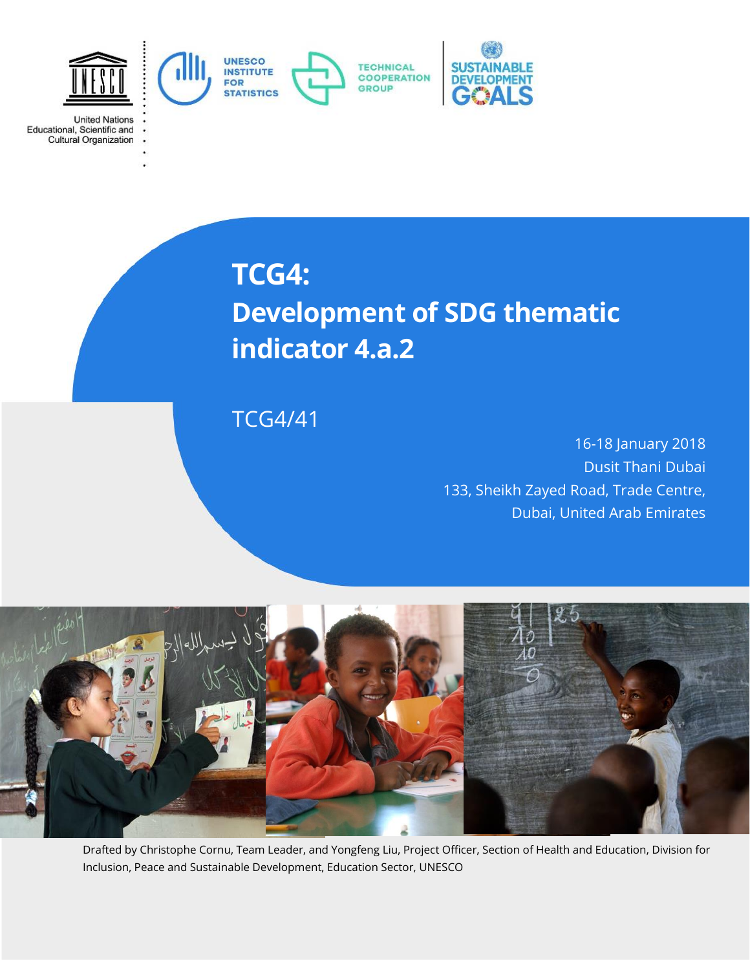

**TCG4:**

**United Nations** 

Educational, Scientific and<br>Cultural Organization

# **Development of SDG thematic indicator 4.a.2**

TCG4/41

16-18 January 2018 Dusit Thani Dubai 133, Sheikh Zayed Road, Trade Centre, Dubai, United Arab Emirates



Drafted by Christophe Cornu, Team Leader, and Yongfeng Liu, Project Officer, Section of Health and Education, Division for Inclusion, Peace and Sustainable Development, Education Sector, UNESCO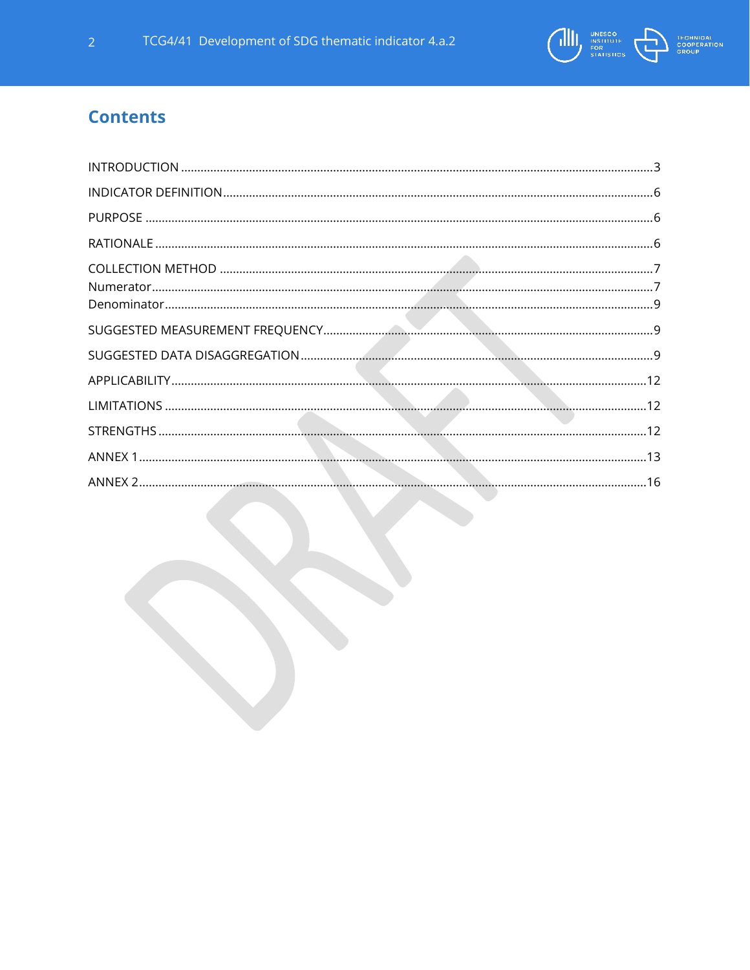

# **Contents**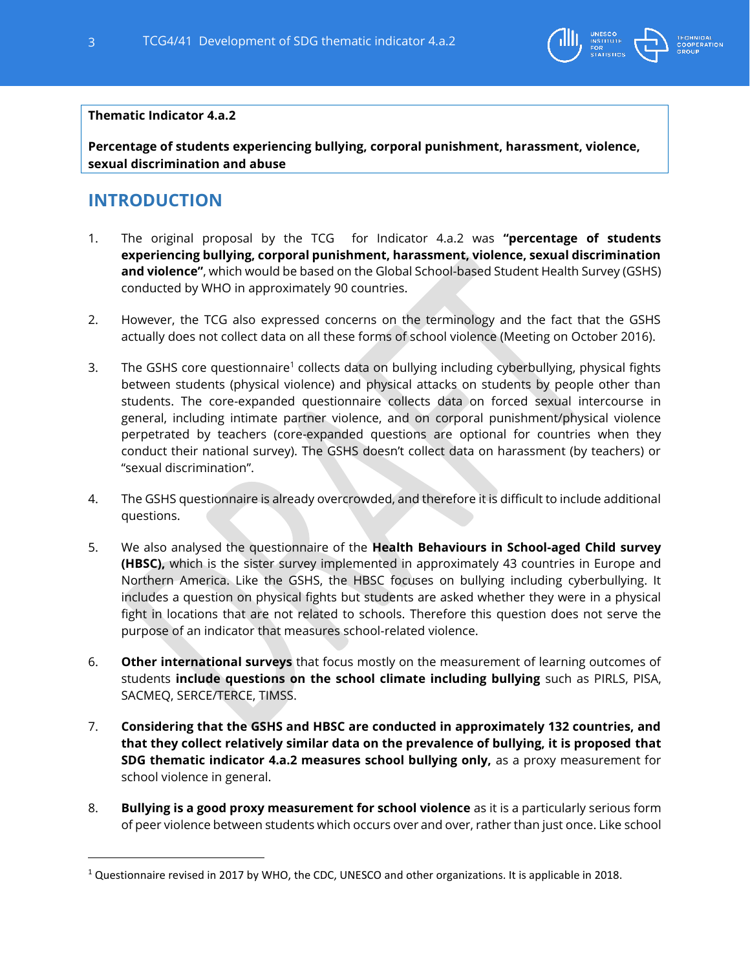

#### **Thematic Indicator 4.a.2**

**Percentage of students experiencing bullying, corporal punishment, harassment, violence, sexual discrimination and abuse**

### <span id="page-2-0"></span>**INTRODUCTION**

- 1. The original proposal by the TCG for Indicator 4.a.2 was **"percentage of students experiencing bullying, corporal punishment, harassment, violence, sexual discrimination and violence"**, which would be based on the Global School-based Student Health Survey (GSHS) conducted by WHO in approximately 90 countries.
- 2. However, the TCG also expressed concerns on the terminology and the fact that the GSHS actually does not collect data on all these forms of school violence (Meeting on October 2016).
- 3. The GSHS core questionnaire<sup>1</sup> collects data on bullying including cyberbullying, physical fights between students (physical violence) and physical attacks on students by people other than students. The core-expanded questionnaire collects data on forced sexual intercourse in general, including intimate partner violence, and on corporal punishment/physical violence perpetrated by teachers (core-expanded questions are optional for countries when they conduct their national survey). The GSHS doesn't collect data on harassment (by teachers) or "sexual discrimination".
- 4. The GSHS questionnaire is already overcrowded, and therefore it is difficult to include additional questions.
- 5. We also analysed the questionnaire of the **Health Behaviours in School-aged Child survey (HBSC),** which is the sister survey implemented in approximately 43 countries in Europe and Northern America. Like the GSHS, the HBSC focuses on bullying including cyberbullying. It includes a question on physical fights but students are asked whether they were in a physical fight in locations that are not related to schools. Therefore this question does not serve the purpose of an indicator that measures school-related violence.
- 6. **Other international surveys** that focus mostly on the measurement of learning outcomes of students **include questions on the school climate including bullying** such as PIRLS, PISA, SACMEQ, SERCE/TERCE, TIMSS.
- 7. **Considering that the GSHS and HBSC are conducted in approximately 132 countries, and that they collect relatively similar data on the prevalence of bullying, it is proposed that SDG thematic indicator 4.a.2 measures school bullying only,** as a proxy measurement for school violence in general.
- 8. **Bullying is a good proxy measurement for school violence** as it is a particularly serious form of peer violence between students which occurs over and over, rather than just once. Like school

<sup>&</sup>lt;sup>1</sup> Questionnaire revised in 2017 by WHO, the CDC, UNESCO and other organizations. It is applicable in 2018.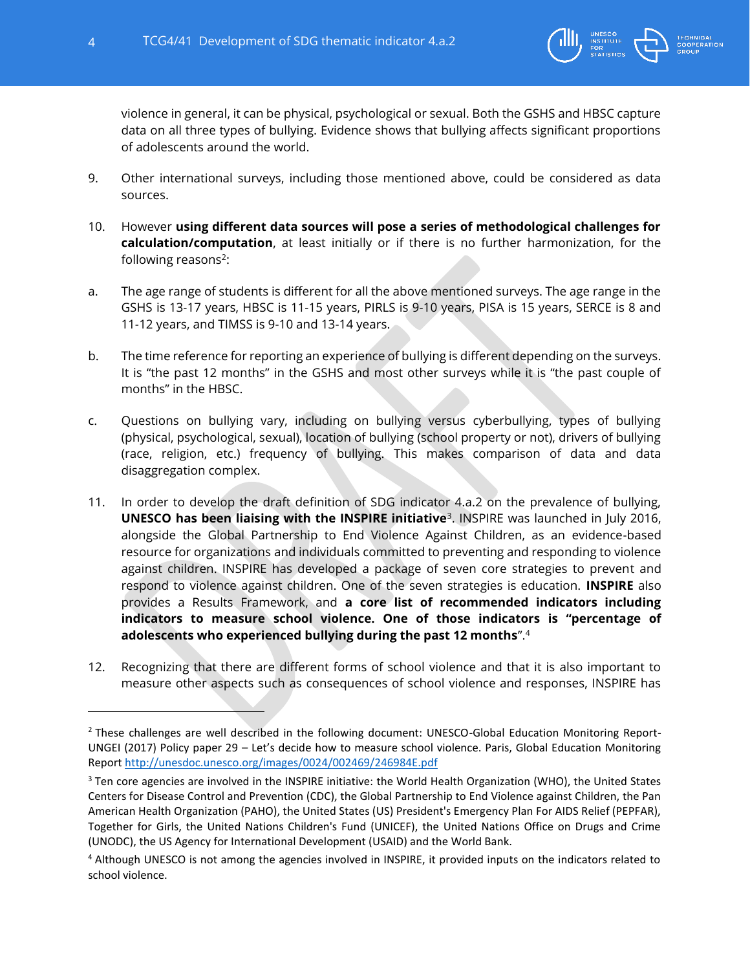

violence in general, it can be physical, psychological or sexual. Both the GSHS and HBSC capture data on all three types of bullying. Evidence shows that bullying affects significant proportions of adolescents around the world.

- 9. Other international surveys, including those mentioned above, could be considered as data sources.
- 10. However **using different data sources will pose a series of methodological challenges for calculation/computation**, at least initially or if there is no further harmonization, for the following reasons<sup>2</sup>:
- a. The age range of students is different for all the above mentioned surveys. The age range in the GSHS is 13-17 years, HBSC is 11-15 years, PIRLS is 9-10 years, PISA is 15 years, SERCE is 8 and 11-12 years, and TIMSS is 9-10 and 13-14 years.
- b. The time reference for reporting an experience of bullying is different depending on the surveys. It is "the past 12 months" in the GSHS and most other surveys while it is "the past couple of months" in the HBSC.
- c. Questions on bullying vary, including on bullying versus cyberbullying, types of bullying (physical, psychological, sexual), location of bullying (school property or not), drivers of bullying (race, religion, etc.) frequency of bullying. This makes comparison of data and data disaggregation complex.
- 11. In order to develop the draft definition of SDG indicator 4.a.2 on the prevalence of bullying, **UNESCO has been liaising with the INSPIRE initiative**<sup>3</sup> . INSPIRE was launched in July 2016, alongside the Global Partnership to End Violence Against Children, as an evidence-based resource for organizations and individuals committed to preventing and responding to violence against children. INSPIRE has developed a package of seven core strategies to prevent and respond to violence against children. One of the seven strategies is education. **INSPIRE** also provides a Results Framework, and **a core list of recommended indicators including indicators to measure school violence. One of those indicators is "percentage of adolescents who experienced bullying during the past 12 months**".<sup>4</sup>
- 12. Recognizing that there are different forms of school violence and that it is also important to measure other aspects such as consequences of school violence and responses, INSPIRE has

<sup>&</sup>lt;sup>2</sup> These challenges are well described in the following document: UNESCO-Global Education Monitoring Report-UNGEI (2017) Policy paper 29 – Let's decide how to measure school violence. Paris, Global Education Monitoring Report<http://unesdoc.unesco.org/images/0024/002469/246984E.pdf>

<sup>&</sup>lt;sup>3</sup> Ten core agencies are involved in the INSPIRE initiative: the World Health Organization (WHO), the United States Centers for Disease Control and Prevention (CDC), the Global Partnership to End Violence against Children, the Pan American Health Organization (PAHO), the United States (US) President's Emergency Plan For AIDS Relief (PEPFAR), Together for Girls, the United Nations Children's Fund (UNICEF), the United Nations Office on Drugs and Crime (UNODC), the US Agency for International Development (USAID) and the World Bank.

<sup>4</sup> Although UNESCO is not among the agencies involved in INSPIRE, it provided inputs on the indicators related to school violence.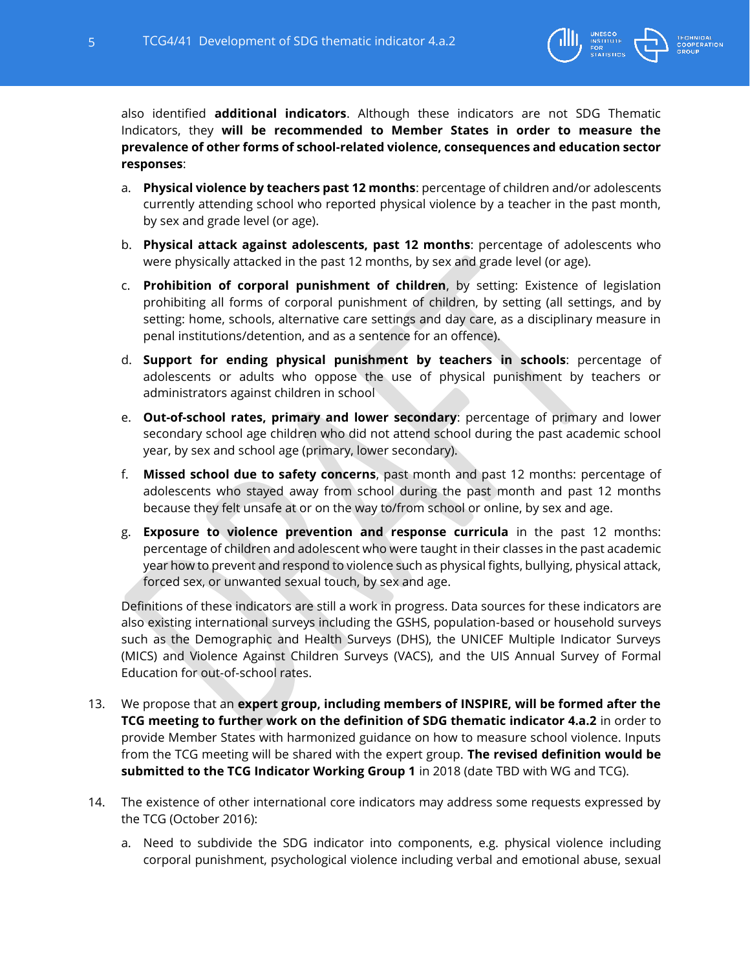

also identified **additional indicators**. Although these indicators are not SDG Thematic Indicators, they **will be recommended to Member States in order to measure the prevalence of other forms of school-related violence, consequences and education sector responses**:

- a. **Physical violence by teachers past 12 months**: percentage of children and/or adolescents currently attending school who reported physical violence by a teacher in the past month, by sex and grade level (or age).
- b. **Physical attack against adolescents, past 12 months**: percentage of adolescents who were physically attacked in the past 12 months, by sex and grade level (or age).
- c. **Prohibition of corporal punishment of children**, by setting: Existence of legislation prohibiting all forms of corporal punishment of children, by setting (all settings, and by setting: home, schools, alternative care settings and day care, as a disciplinary measure in penal institutions/detention, and as a sentence for an offence).
- d. **Support for ending physical punishment by teachers in schools**: percentage of adolescents or adults who oppose the use of physical punishment by teachers or administrators against children in school
- e. **Out-of-school rates, primary and lower secondary**: percentage of primary and lower secondary school age children who did not attend school during the past academic school year, by sex and school age (primary, lower secondary).
- f. **Missed school due to safety concerns**, past month and past 12 months: percentage of adolescents who stayed away from school during the past month and past 12 months because they felt unsafe at or on the way to/from school or online, by sex and age.
- g. **Exposure to violence prevention and response curricula** in the past 12 months: percentage of children and adolescent who were taught in their classes in the past academic year how to prevent and respond to violence such as physical fights, bullying, physical attack, forced sex, or unwanted sexual touch, by sex and age.

Definitions of these indicators are still a work in progress. Data sources for these indicators are also existing international surveys including the GSHS, population-based or household surveys such as the Demographic and Health Surveys (DHS), the UNICEF Multiple Indicator Surveys (MICS) and Violence Against Children Surveys (VACS), and the UIS Annual Survey of Formal Education for out-of-school rates.

- 13. We propose that an **expert group, including members of INSPIRE, will be formed after the TCG meeting to further work on the definition of SDG thematic indicator 4.a.2** in order to provide Member States with harmonized guidance on how to measure school violence. Inputs from the TCG meeting will be shared with the expert group. **The revised definition would be submitted to the TCG Indicator Working Group 1** in 2018 (date TBD with WG and TCG).
- 14. The existence of other international core indicators may address some requests expressed by the TCG (October 2016):
	- a. Need to subdivide the SDG indicator into components, e.g. physical violence including corporal punishment, psychological violence including verbal and emotional abuse, sexual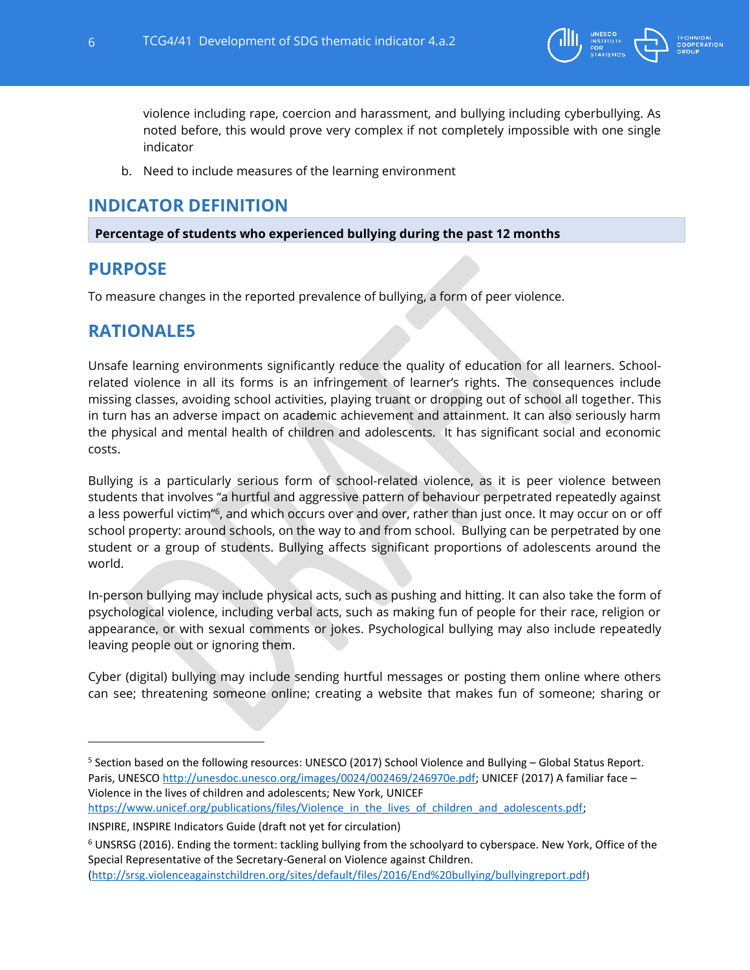

violence including rape, coercion and harassment, and bullying including cyberbullying. As noted before, this would prove very complex if not completely impossible with one single indicator

b. Need to include measures of the learning environment

### <span id="page-5-0"></span>**INDICATOR DEFINITION**

<span id="page-5-1"></span>**Percentage of students who experienced bullying during the past 12 months**

### **PURPOSE**

 $\overline{\phantom{a}}$ 

<span id="page-5-2"></span>To measure changes in the reported prevalence of bullying, a form of peer violence.

### **RATIONALE5**

Unsafe learning environments significantly reduce the quality of education for all learners. Schoolrelated violence in all its forms is an infringement of learner's rights. The consequences include missing classes, avoiding school activities, playing truant or dropping out of school all together. This in turn has an adverse impact on academic achievement and attainment. It can also seriously harm the physical and mental health of children and adolescents. It has significant social and economic costs.

Bullying is a particularly serious form of school-related violence, as it is peer violence between students that involves "a hurtful and aggressive pattern of behaviour perpetrated repeatedly against a less powerful victim"<sup>6</sup>, and which occurs over and over, rather than just once. It may occur on or off school property: around schools, on the way to and from school. Bullying can be perpetrated by one student or a group of students. Bullying affects significant proportions of adolescents around the world.

In-person bullying may include physical acts, such as pushing and hitting. It can also take the form of psychological violence, including verbal acts, such as making fun of people for their race, religion or appearance, or with sexual comments or jokes. Psychological bullying may also include repeatedly leaving people out or ignoring them.

Cyber (digital) bullying may include sending hurtful messages or posting them online where others can see; threatening someone online; creating a website that makes fun of someone; sharing or

[https://www.unicef.org/publications/files/Violence\\_in\\_the\\_lives\\_of\\_children\\_and\\_adolescents.pdf;](https://www.unicef.org/publications/files/Violence_in_the_lives_of_children_and_adolescents.pdf)

<sup>&</sup>lt;sup>5</sup> Section based on the following resources: UNESCO (2017) School Violence and Bullying – Global Status Report. Paris, UNESCO [http://unesdoc.unesco.org/images/0024/002469/246970e.pdf;](http://unesdoc.unesco.org/images/0024/002469/246970e.pdf) UNICEF (2017) A familiar face -Violence in the lives of children and adolescents; New York, UNICEF

INSPIRE, INSPIRE Indicators Guide (draft not yet for circulation)

 $6$  UNSRSG (2016). Ending the torment: tackling bullying from the schoolyard to cyberspace. New York, Office of the Special Representative of the Secretary-General on Violence against Children.

[<sup>\(</sup>http://srsg.violenceagainstchildren.org/sites/default/files/2016/End%20bullying/bullyingreport.pdf](http://srsg.violenceagainstchildren.org/sites/default/files/2016/End%20bullying/bullyingreport.pdf))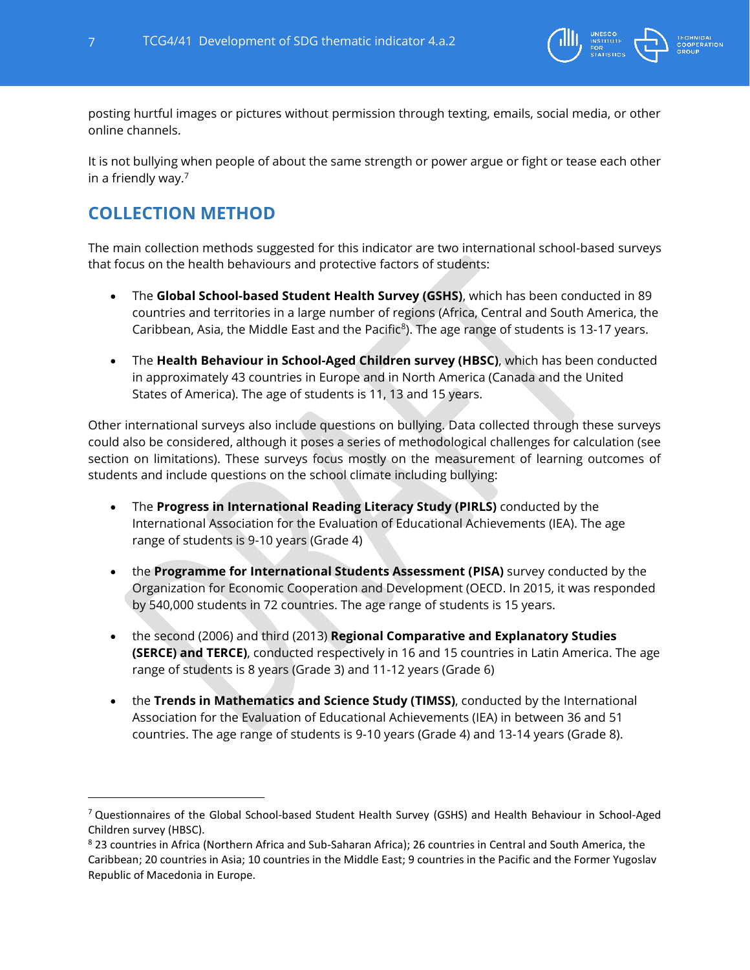

posting hurtful images or pictures without permission through texting, emails, social media, or other online channels.

It is not bullying when people of about the same strength or power argue or fight or tease each other in a friendly way.<sup>7</sup>

# <span id="page-6-0"></span>**COLLECTION METHOD**

<span id="page-6-1"></span>

The main collection methods suggested for this indicator are two international school-based surveys that focus on the health behaviours and protective factors of students:

- The **Global School-based Student Health Survey (GSHS)**, which has been conducted in 89 countries and territories in a large number of regions (Africa, Central and South America, the Caribbean, Asia, the Middle East and the Pacific<sup>8</sup>). The age range of students is 13-17 years.
- The **Health Behaviour in School-Aged Children survey (HBSC)**, which has been conducted in approximately 43 countries in Europe and in North America (Canada and the United States of America). The age of students is 11, 13 and 15 years.

Other international surveys also include questions on bullying. Data collected through these surveys could also be considered, although it poses a series of methodological challenges for calculation (see section on limitations). These surveys focus mostly on the measurement of learning outcomes of students and include questions on the school climate including bullying:

- The **Progress in International Reading Literacy Study [\(PIRLS\)](https://www.google.fr/url?sa=t&rct=j&q=&esrc=s&source=web&cd=2&cad=rja&uact=8&ved=0ahUKEwjKpvDfiq_WAhUDnBoKHWEKDHsQFggtMAE&url=https%3A%2F%2Ftimssandpirls.bc.edu%2Fpirls2016%2F&usg=AFQjCNEZfpZ8QGLtWph3WiB_CAzGX_mfeQ)** conducted by the International Association for the Evaluation of Educational Achievements (IEA). The age range of students is 9-10 years (Grade 4)
- the **Programme for International Students Assessment [\(PISA\)](http://www.oecd.org/pisa/)** survey conducted by the Organization for Economic Cooperation and Development (OECD. In 2015, it was responded by 540,000 students in 72 countries. The age range of students is 15 years.
- the second (2006) and third (2013) **Regional Comparative and Explanatory Studies [\(SERCE\)](http://www.unesco.org/new/en/santiago/education/education-assessment-llece/second-regional-comparative-and-explanatory-study-serce/) and [TERCE\)](http://www.unesco.org/new/en/santiago/education/education-assessment-llece/third-regional-comparative-and-explanatory-study-terce/)**, conducted respectively in 16 and 15 countries in Latin America. The age range of students is 8 years (Grade 3) and 11-12 years (Grade 6)
- the **Trends in Mathematics and Science Study [\(TIMSS\)](https://timssandpirls.bc.edu/)**, conducted by the International Association for the Evaluation of Educational Achievements (IEA) in between 36 and 51 countries. The age range of students is 9-10 years (Grade 4) and 13-14 years (Grade 8).

<sup>&</sup>lt;sup>7</sup> Questionnaires of the Global School-based Student Health Survey (GSHS) and Health Behaviour in School-Aged Children survey (HBSC).

<sup>&</sup>lt;sup>8</sup> 23 countries in Africa (Northern Africa and Sub-Saharan Africa); 26 countries in Central and South America, the Caribbean; 20 countries in Asia; 10 countries in the Middle East; 9 countries in the Pacific and the Former Yugoslav Republic of Macedonia in Europe.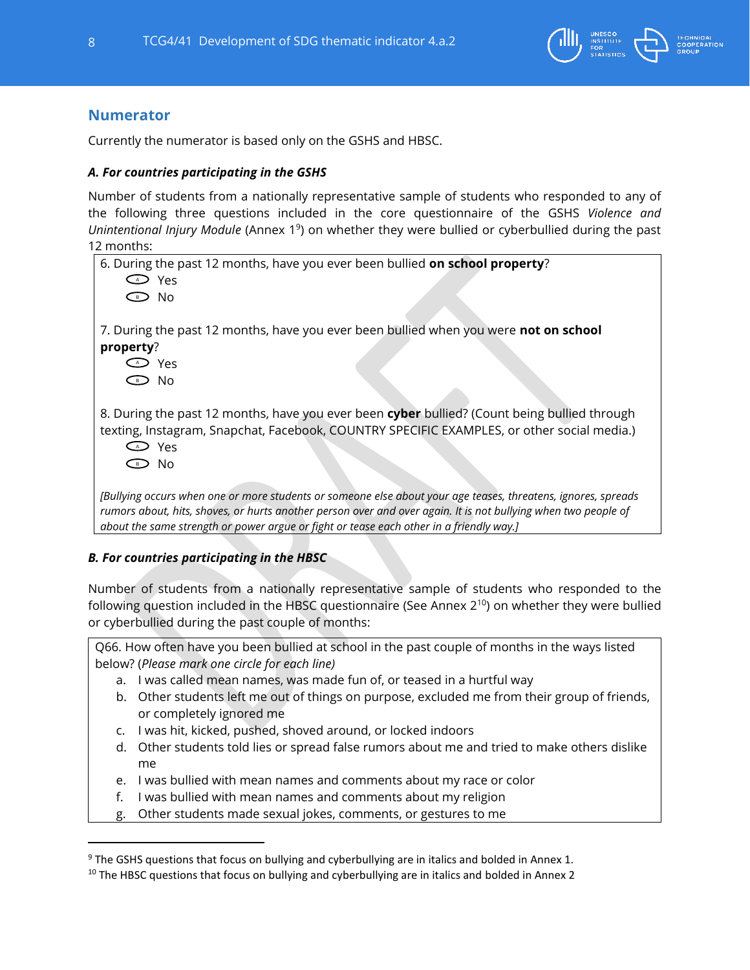

### **Numerator**

Currently the numerator is based only on the GSHS and HBSC.

### *A. For countries participating in the GSHS*

Number of students from a nationally representative sample of students who responded to any of the following three questions included in the core questionnaire of the GSHS *Violence and*  Unintentional Injury Module (Annex 1<sup>9</sup>) on whether they were bullied or cyberbullied during the past 12 months:

6. During the past 12 months, have you ever been bullied **on school property**? Yes A No B 7. During the past 12 months, have you ever been bullied when you were **not on school property**? Yes A No B 8. During the past 12 months, have you ever been **cyber** bullied? (Count being bullied through texting, Instagram, Snapchat, Facebook, COUNTRY SPECIFIC EXAMPLES, or other social media.) Yes A No B*[Bullying occurs when one or more students or someone else about your age teases, threatens, ignores, spreads*  rumors about, hits, shoves, or hurts another person over and over again. It is not bullying when two people of *about the same strength or power argue or fight or tease each other in a friendly way.]*

#### *B. For countries participating in the HBSC*

 $\overline{a}$ 

Number of students from a nationally representative sample of students who responded to the following question included in the HBSC questionnaire (See Annex 2<sup>10</sup>) on whether they were bullied or cyberbullied during the past couple of months:

Q66. How often have you been bullied at school in the past couple of months in the ways listed below? (*Please mark one circle for each line)*

- a. I was called mean names, was made fun of, or teased in a hurtful way
- b. Other students left me out of things on purpose, excluded me from their group of friends, or completely ignored me
- c. I was hit, kicked, pushed, shoved around, or locked indoors
- d. Other students told lies or spread false rumors about me and tried to make others dislike me
- e. I was bullied with mean names and comments about my race or color
- f. I was bullied with mean names and comments about my religion
- g. Other students made sexual jokes, comments, or gestures to me

<sup>&</sup>lt;sup>9</sup> The GSHS questions that focus on bullying and cyberbullying are in italics and bolded in Annex 1.

 $10$  The HBSC questions that focus on bullying and cyberbullying are in italics and bolded in Annex 2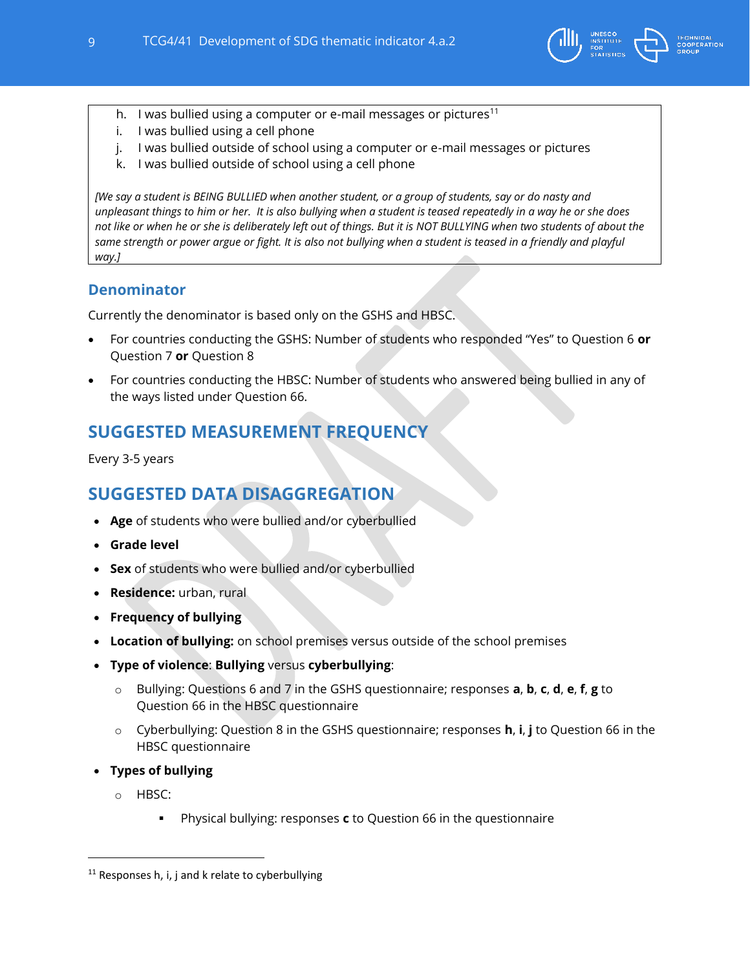

- h. I was bullied using a computer or e-mail messages or pictures<sup>11</sup>
- i. I was bullied using a cell phone
- j. I was bullied outside of school using a computer or e-mail messages or pictures
- k. I was bullied outside of school using a cell phone

*[We say a student is BEING BULLIED when another student, or a group of students, say or do nasty and unpleasant things to him or her. It is also bullying when a student is teased repeatedly in a way he or she does not like or when he or she is deliberately left out of things. But it is NOT BULLYING when two students of about the same strength or power argue or fight. It is also not bullying when a student is teased in a friendly and playful way.]*

### <span id="page-8-0"></span>**Denominator**

Currently the denominator is based only on the GSHS and HBSC.

- For countries conducting the GSHS: Number of students who responded "Yes" to Question 6 **or** Question 7 **or** Question 8
- For countries conducting the HBSC: Number of students who answered being bullied in any of the ways listed under Question 66.

## <span id="page-8-1"></span>**SUGGESTED MEASUREMENT FREQUENCY**

<span id="page-8-2"></span>Every 3-5 years

### **SUGGESTED DATA DISAGGREGATION**

- **Age** of students who were bullied and/or cyberbullied
- **Grade level**
- **Sex** of students who were bullied and/or cyberbullied
- **Residence:** urban, rural
- **Frequency of bullying**
- **Location of bullying:** on school premises versus outside of the school premises
- **Type of violence**: **Bullying** versus **cyberbullying**:
	- o Bullying: Questions 6 and 7 in the GSHS questionnaire; responses **a**, **b**, **c**, **d**, **e**, **f**, **g** to Question 66 in the HBSC questionnaire
	- o Cyberbullying: Question 8 in the GSHS questionnaire; responses **h**, **i**, **j** to Question 66 in the HBSC questionnaire
- **Types of bullying** 
	- o HBSC:

Physical bullying: responses **c** to Question 66 in the questionnaire

 $11$  Responses h, i, j and k relate to cyberbullying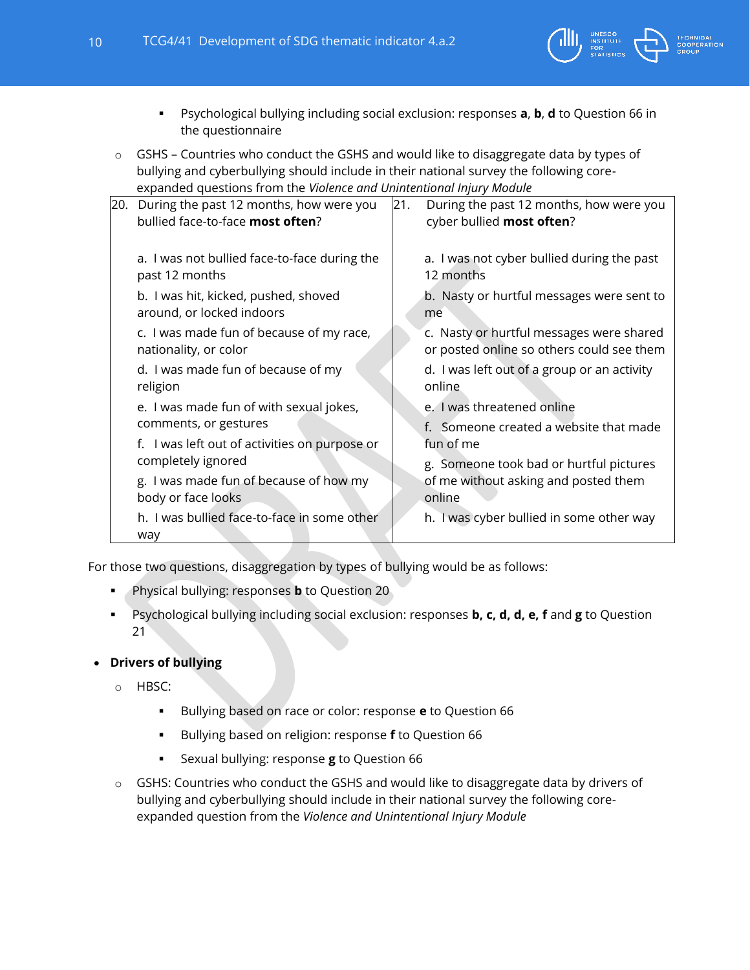

- Psychological bullying including social exclusion: responses **a**, **b**, **d** to Question 66 in the questionnaire
- $\circ$  GSHS Countries who conduct the GSHS and would like to disaggregate data by types of bullying and cyberbullying should include in their national survey the following coreexpanded questions from the *Violence and Unintentional Injury Module*

| 20. During the past 12 months, how were you<br>bullied face-to-face most often? | 21. | During the past 12 months, how were you<br>cyber bullied most often?                  |
|---------------------------------------------------------------------------------|-----|---------------------------------------------------------------------------------------|
| a. I was not bullied face-to-face during the<br>past 12 months                  |     | a. I was not cyber bullied during the past<br>12 months                               |
| b. I was hit, kicked, pushed, shoved<br>around, or locked indoors               |     | b. Nasty or hurtful messages were sent to<br>me                                       |
| c. I was made fun of because of my race,<br>nationality, or color               |     | c. Nasty or hurtful messages were shared<br>or posted online so others could see them |
| d. I was made fun of because of my<br>religion                                  |     | d. I was left out of a group or an activity<br>online                                 |
| e. I was made fun of with sexual jokes,                                         |     | e. I was threatened online                                                            |
| comments, or gestures                                                           |     | f. Someone created a website that made                                                |
| f. I was left out of activities on purpose or                                   |     | fun of me                                                                             |
| completely ignored                                                              |     | g. Someone took bad or hurtful pictures                                               |
| g. I was made fun of because of how my<br>body or face looks                    |     | of me without asking and posted them<br>online                                        |
| h. I was bullied face-to-face in some other                                     |     | h. I was cyber bullied in some other way                                              |
| way                                                                             |     |                                                                                       |

For those two questions, disaggregation by types of bullying would be as follows:

- **Physical bullying: responses <b>b** to Question 20
- Psychological bullying including social exclusion: responses **b, c, d, d, e, f** and **g** to Question 21

### **Drivers of bullying**

- o HBSC:
	- Bullying based on race or color: response **e** to Question 66
	- Bullying based on religion: response **f** to Question 66
	- Sexual bullying: response **g** to Question 66
- o GSHS: Countries who conduct the GSHS and would like to disaggregate data by drivers of bullying and cyberbullying should include in their national survey the following coreexpanded question from the *Violence and Unintentional Injury Module*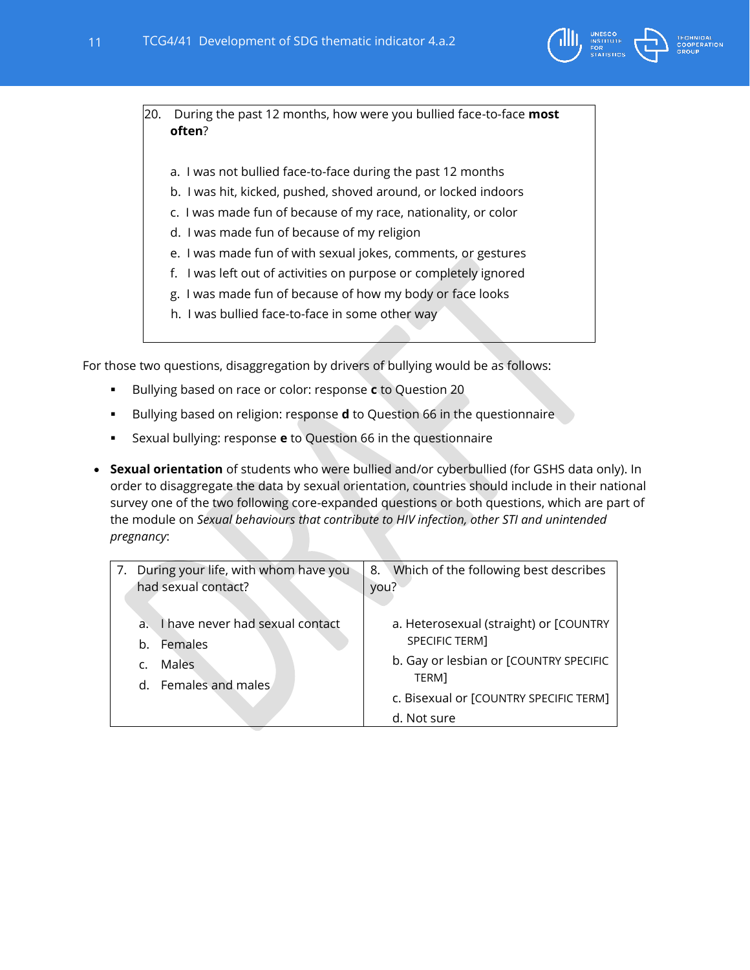

20. During the past 12 months, how were you bullied face-to-face **most often**?

- a. I was not bullied face-to-face during the past 12 months
- b. I was hit, kicked, pushed, shoved around, or locked indoors
- c. I was made fun of because of my race, nationality, or color
- d. I was made fun of because of my religion
- e. I was made fun of with sexual jokes, comments, or gestures
- f. I was left out of activities on purpose or completely ignored
- g. I was made fun of because of how my body or face looks
- h. I was bullied face-to-face in some other way

For those two questions, disaggregation by drivers of bullying would be as follows:

- Bullying based on race or color: response **c** to Question 20
- **Bullying based on religion: response <b>d** to Question 66 in the questionnaire
- Sexual bullying: response **e** to Question 66 in the questionnaire
- **Sexual orientation** of students who were bullied and/or cyberbullied (for GSHS data only). In order to disaggregate the data by sexual orientation, countries should include in their national survey one of the two following core-expanded questions or both questions, which are part of the module on *Sexual behaviours that contribute to HIV infection, other STI and unintended pregnancy*:

<span id="page-10-0"></span>

| 7. During your life, with whom have you           | 8. Which of the following best describes |
|---------------------------------------------------|------------------------------------------|
| had sexual contact?                               | you?                                     |
|                                                   |                                          |
| I have never had sexual contact<br>a <sub>z</sub> | a. Heterosexual (straight) or [COUNTRY   |
| Females<br>b.                                     | SPECIFIC TERM]                           |
| Males                                             | b. Gay or lesbian or [COUNTRY SPECIFIC   |
| d. Females and males                              | TERM]                                    |
|                                                   | c. Bisexual or [COUNTRY SPECIFIC TERM]   |
|                                                   | d. Not sure                              |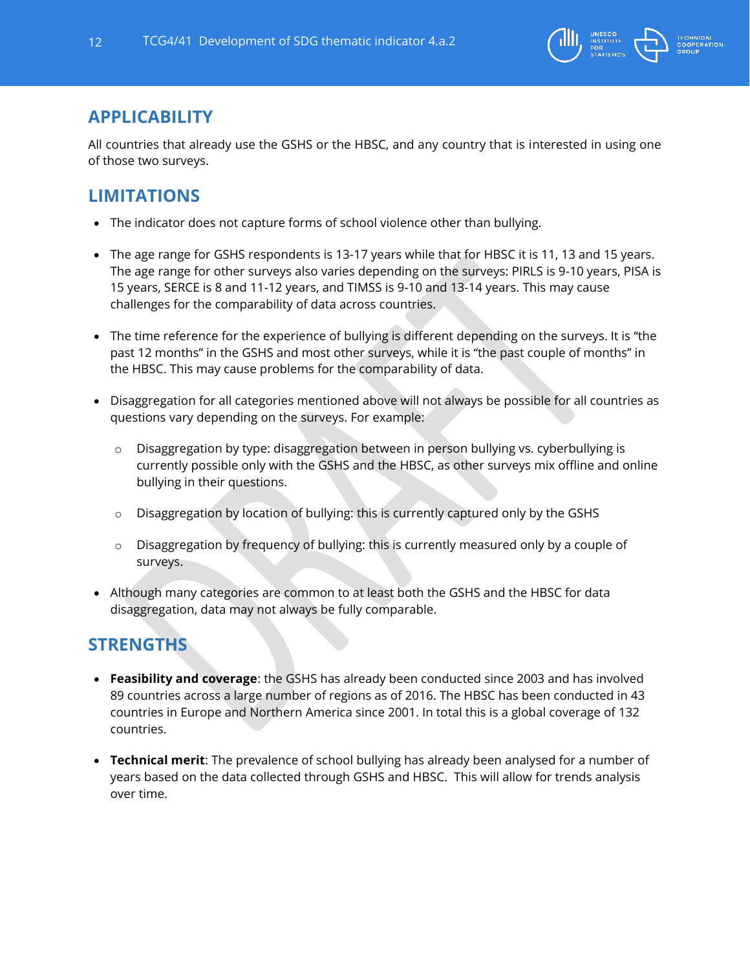

### **APPLICABILITY**

All countries that already use the GSHS or the HBSC, and any country that is interested in using one of those two surveys.

# <span id="page-11-0"></span>**LIMITATIONS**

- The indicator does not capture forms of school violence other than bullying.
- The age range for GSHS respondents is 13-17 years while that for HBSC it is 11, 13 and 15 years. The age range for other surveys also varies depending on the surveys: PIRLS is 9-10 years, PISA is 15 years, SERCE is 8 and 11-12 years, and TIMSS is 9-10 and 13-14 years. This may cause challenges for the comparability of data across countries.
- The time reference for the experience of bullying is different depending on the surveys. It is "the past 12 months" in the GSHS and most other surveys, while it is "the past couple of months" in the HBSC. This may cause problems for the comparability of data.
- Disaggregation for all categories mentioned above will not always be possible for all countries as questions vary depending on the surveys. For example:
	- $\circ$  Disaggregation by type: disaggregation between in person bullying vs. cyberbullying is currently possible only with the GSHS and the HBSC, as other surveys mix offline and online bullying in their questions.
	- o Disaggregation by location of bullying: this is currently captured only by the GSHS
	- o Disaggregation by frequency of bullying: this is currently measured only by a couple of surveys.
- Although many categories are common to at least both the GSHS and the HBSC for data disaggregation, data may not always be fully comparable.

# <span id="page-11-1"></span>**STRENGTHS**

- **Feasibility and coverage**: the GSHS has already been conducted since 2003 and has involved 89 countries across a large number of regions as of 2016. The HBSC has been conducted in 43 countries in Europe and Northern America since 2001. In total this is a global coverage of 132 countries.
- **Technical merit**: The prevalence of school bullying has already been analysed for a number of years based on the data collected through GSHS and HBSC. This will allow for trends analysis over time.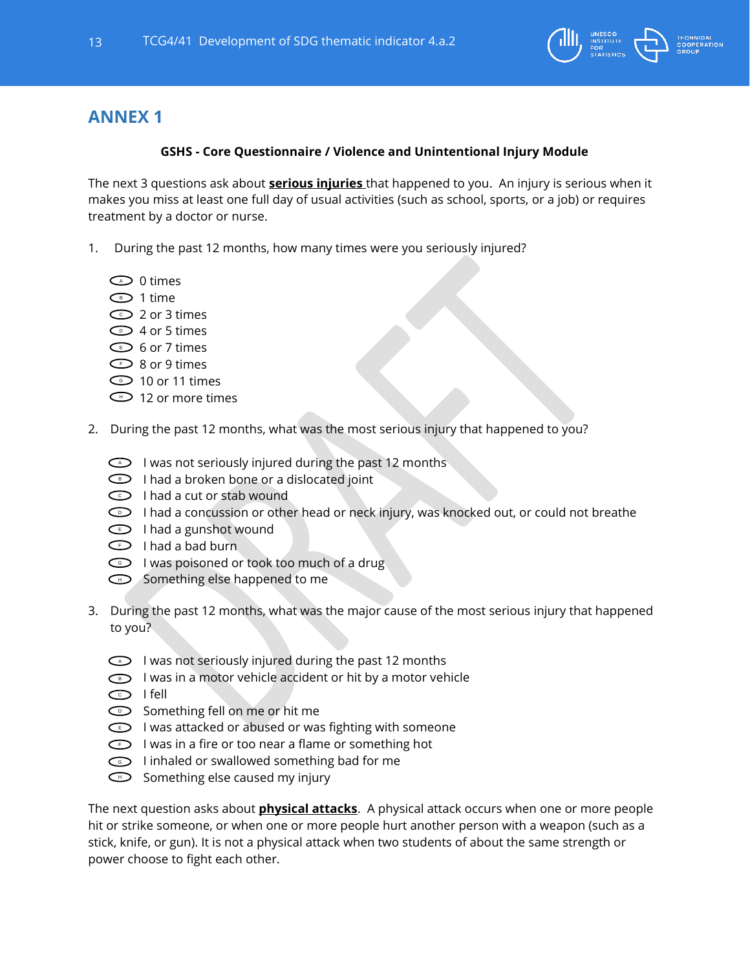

# <span id="page-12-0"></span>**ANNEX 1**

### **GSHS - Core Questionnaire / Violence and Unintentional Injury Module**

The next 3 questions ask about **serious injuries** that happened to you. An injury is serious when it makes you miss at least one full day of usual activities (such as school, sports, or a job) or requires treatment by a doctor or nurse.

- 1. During the past 12 months, how many times were you seriously injured?
	- $\supset$  0 times
	- 1 time B
	- $\mathfrak D$  2 or 3 times
	- $\mathsf{\supset}$  4 or 5 times
	- $\mathsf{\Sigma}$  6 or 7 times
	- $\mathsf{\supset}$  8 or 9 times
	- $\mathsf{\supset}$  10 or 11 times
	- $\mathbb D$  12 or more times
- 2. During the past 12 months, what was the most serious injury that happened to you?
	- $\odot$  I was not seriously injured during the past 12 months
	- $\supset$  I had a broken bone or a dislocated joint
	- $\supset$  I had a cut or stab wound
	- $\supset\,$  I had a concussion or other head or neck injury, was knocked out, or could not breathe
	- I had a gunshot wound
	- $\supset$  I had a bad burn
	- $\odot$  I was poisoned or took too much of a drug
	- $\supset$  Something else happened to me
- 3. During the past 12 months, what was the major cause of the most serious injury that happened to you?
	- $\triangleright$  I was not seriously injured during the past 12 months
	- $\supset\;\;$  I was in a motor vehicle accident or hit by a motor vehicle
	- ට I fell
	- $\supset$  Something fell on me or hit me
	- $\supset$  I was attacked or abused or was fighting with someone
	- $\supset$  I was in a fire or too near a flame or something hot
	- **D** I inhaled or swallowed something bad for me
	- $\supset$  Something else caused my injury

The next question asks about **physical attacks**. A physical attack occurs when one or more people hit or strike someone, or when one or more people hurt another person with a weapon (such as a stick, knife, or gun). It is not a physical attack when two students of about the same strength or power choose to fight each other.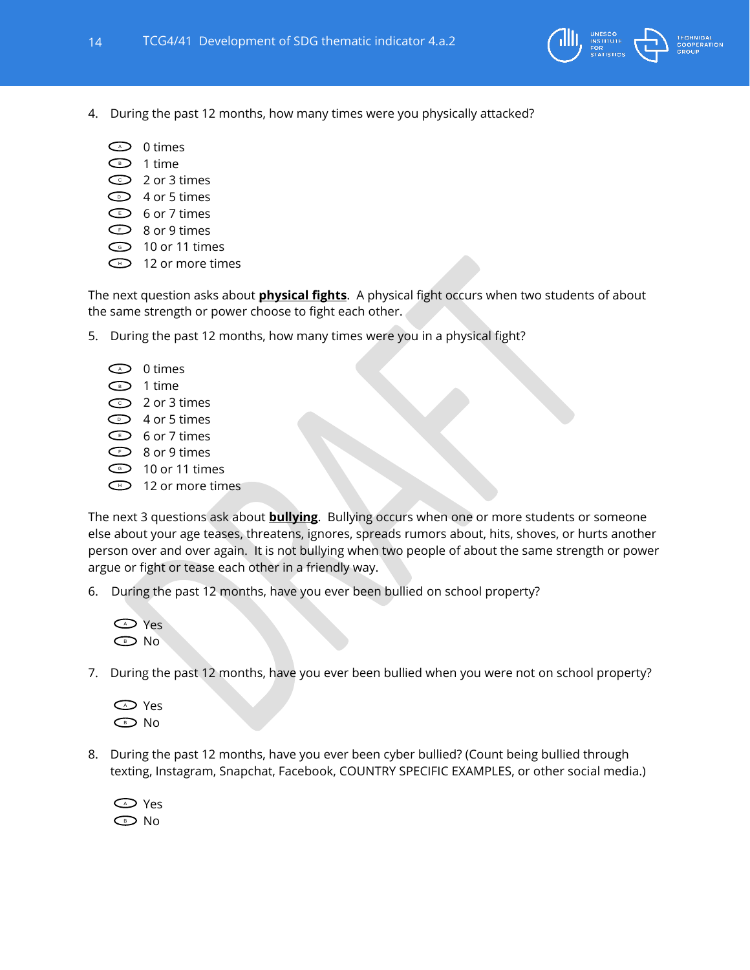

- 4. During the past 12 months, how many times were you physically attacked?
	- $\supset$  0 times
	- $\mathsf{P}$  1 time
	- $\supset$  2 or 3 times
	- $\mathsf{\Sigma} \quad$  4 or 5 times
	- $\supset$  6 or 7 times
	- $\supset$  8 or 9 times
	- 10 or 11 times G
	- $\Box$  12 or more times

The next question asks about **physical fights**. A physical fight occurs when two students of about the same strength or power choose to fight each other.

- 5. During the past 12 months, how many times were you in a physical fight?
	- $\supset$  0 times  $\mathbf{D}$  1 time 2 or 3 times C 4 or 5 times D  $\supset$  6 or 7 times  $\supset$  8 or 9 times 10 or 11 times G **D** 12 or more times

The next 3 questions ask about **bullying**. Bullying occurs when one or more students or someone else about your age teases, threatens, ignores, spreads rumors about, hits, shoves, or hurts another person over and over again. It is not bullying when two people of about the same strength or power argue or fight or tease each other in a friendly way.

6. During the past 12 months, have you ever been bullied on school property?



7. During the past 12 months, have you ever been bullied when you were not on school property?



8. During the past 12 months, have you ever been cyber bullied? (Count being bullied through texting, Instagram, Snapchat, Facebook, COUNTRY SPECIFIC EXAMPLES, or other social media.)

<span id="page-13-0"></span>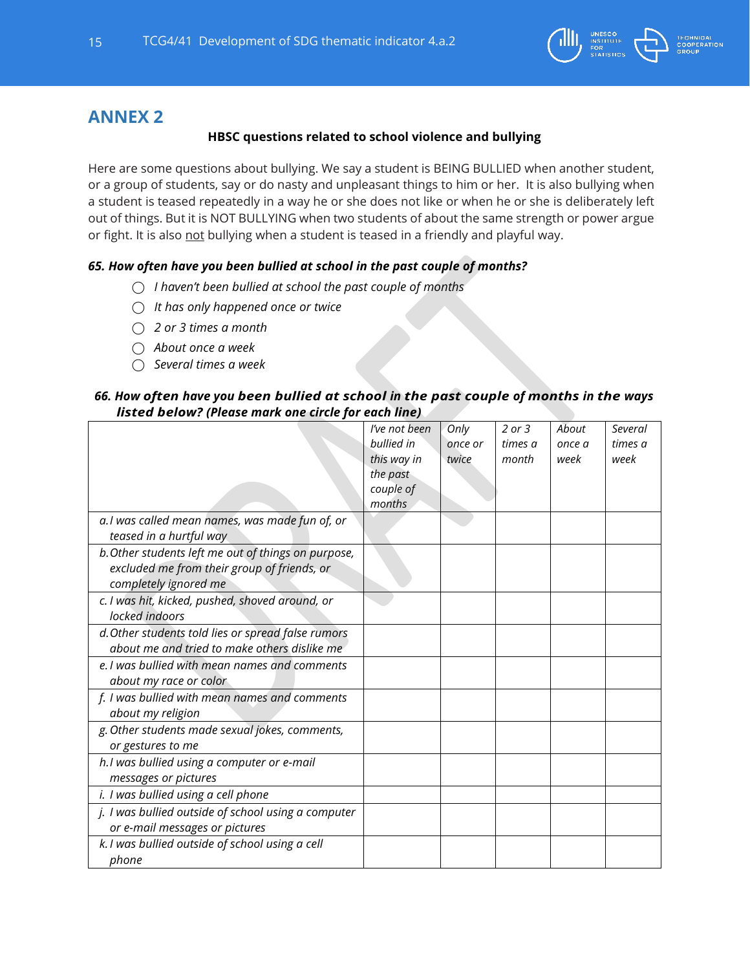

### **ANNEX 2**

### **HBSC questions related to school violence and bullying**

Here are some questions about bullying. We say a student is BEING BULLIED when another student, or a group of students, say or do nasty and unpleasant things to him or her. It is also bullying when a student is teased repeatedly in a way he or she does not like or when he or she is deliberately left out of things. But it is NOT BULLYING when two students of about the same strength or power argue or fight. It is also not bullying when a student is teased in a friendly and playful way.

#### *65. How often have you been bullied at school in the past couple of months?*

- ⃝ *I haven't been bullied at school the past couple of months*
- ⃝ *It has only happened once or twice*
- ⃝ *2 or 3 times a month*
- ⃝ *About once a week*
- ⃝ *Several times a week*

#### *66. How often have you been bullied at school in the past couple of months in the ways listed below? (Please mark one circle for each line)*

|                                                                                                                             | I've not been<br>bullied in<br>this way in<br>the past<br>couple of<br>months | Only<br>once or<br>twice | $2$ or $3$<br>times a<br>month | About<br>once a<br>week | Several<br>times a<br>week |
|-----------------------------------------------------------------------------------------------------------------------------|-------------------------------------------------------------------------------|--------------------------|--------------------------------|-------------------------|----------------------------|
| a.I was called mean names, was made fun of, or<br>teased in a hurtful way                                                   |                                                                               |                          |                                |                         |                            |
| b. Other students left me out of things on purpose,<br>excluded me from their group of friends, or<br>completely ignored me |                                                                               |                          |                                |                         |                            |
| c. I was hit, kicked, pushed, shoved around, or<br>locked indoors                                                           |                                                                               |                          |                                |                         |                            |
| d. Other students told lies or spread false rumors<br>about me and tried to make others dislike me                          |                                                                               |                          |                                |                         |                            |
| e. I was bullied with mean names and comments<br>about my race or color                                                     |                                                                               |                          |                                |                         |                            |
| f. I was bullied with mean names and comments<br>about my religion                                                          |                                                                               |                          |                                |                         |                            |
| g. Other students made sexual jokes, comments,<br>or gestures to me                                                         |                                                                               |                          |                                |                         |                            |
| h.I was bullied using a computer or e-mail<br>messages or pictures                                                          |                                                                               |                          |                                |                         |                            |
| i. I was bullied using a cell phone                                                                                         |                                                                               |                          |                                |                         |                            |
| j. I was bullied outside of school using a computer<br>or e-mail messages or pictures                                       |                                                                               |                          |                                |                         |                            |
| k. I was bullied outside of school using a cell<br>phone                                                                    |                                                                               |                          |                                |                         |                            |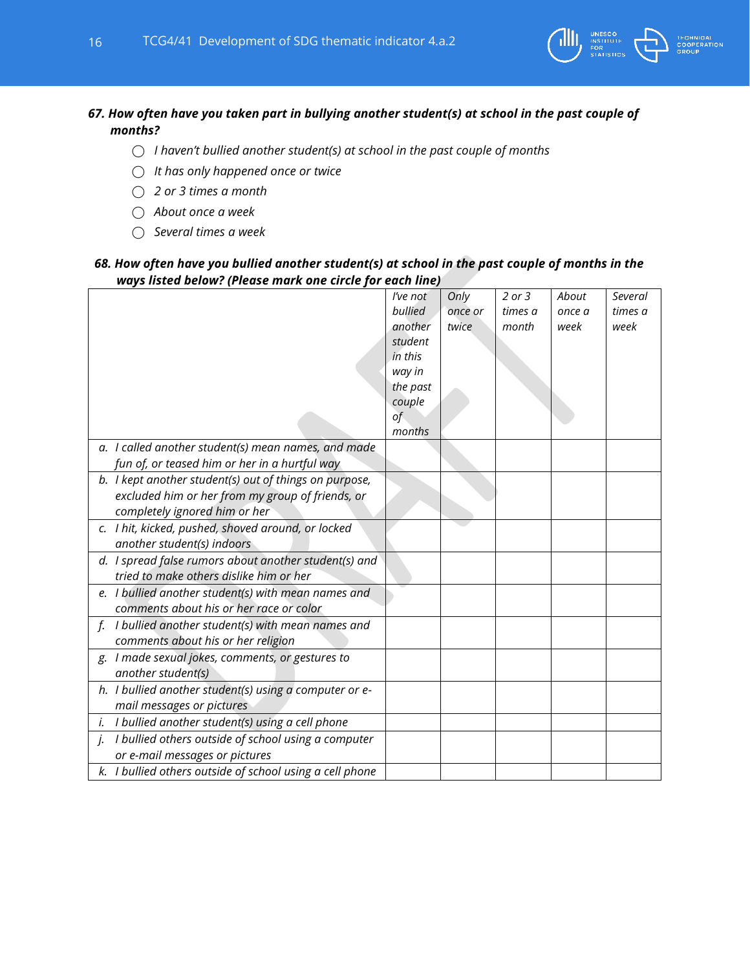

### *67. How often have you taken part in bullying another student(s) at school in the past couple of months?*

- ⃝ *I haven't bullied another student(s) at school in the past couple of months*
- ⃝ *It has only happened once or twice*
- ⃝ *2 or 3 times a month*
- ⃝ *About once a week*
- ⃝ *Several times a week*

### *68. How often have you bullied another student(s) at school in the past couple of months in the ways listed below? (Please mark one circle for each line)*

|                                                           | I've not | Only    | $2$ or $3$ | About  | <b>Several</b> |
|-----------------------------------------------------------|----------|---------|------------|--------|----------------|
|                                                           | bullied  | once or | times a    | once a | times a        |
|                                                           | another  | twice   | month      | week   | week           |
|                                                           | student  |         |            |        |                |
|                                                           | in this  |         |            |        |                |
|                                                           | way in   |         |            |        |                |
|                                                           | the past |         |            |        |                |
|                                                           | couple   |         |            |        |                |
|                                                           | of       |         |            |        |                |
|                                                           | months   |         |            |        |                |
| a. I called another student(s) mean names, and made       |          |         |            |        |                |
| fun of, or teased him or her in a hurtful way             |          |         |            |        |                |
| b. I kept another student(s) out of things on purpose,    |          |         |            |        |                |
| excluded him or her from my group of friends, or          |          |         |            |        |                |
| completely ignored him or her                             |          |         |            |        |                |
| c. I hit, kicked, pushed, shoved around, or locked        |          |         |            |        |                |
| another student(s) indoors                                |          |         |            |        |                |
| d. I spread false rumors about another student(s) and     |          |         |            |        |                |
| tried to make others dislike him or her                   |          |         |            |        |                |
| e. I bullied another student(s) with mean names and       |          |         |            |        |                |
| comments about his or her race or color                   |          |         |            |        |                |
| f. I bullied another student(s) with mean names and       |          |         |            |        |                |
| comments about his or her religion                        |          |         |            |        |                |
| g. I made sexual jokes, comments, or gestures to          |          |         |            |        |                |
| another student(s)                                        |          |         |            |        |                |
| h. I bullied another student(s) using a computer or e-    |          |         |            |        |                |
| mail messages or pictures                                 |          |         |            |        |                |
| i. I bullied another student(s) using a cell phone        |          |         |            |        |                |
| I bullied others outside of school using a computer<br>j. |          |         |            |        |                |
| or e-mail messages or pictures                            |          |         |            |        |                |
| k. I bullied others outside of school using a cell phone  |          |         |            |        |                |